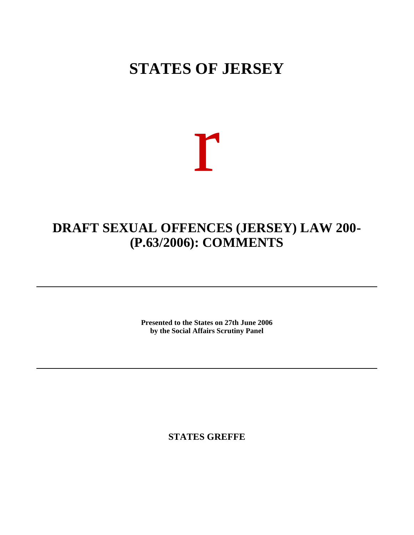## **STATES OF JERSEY**

## r

## **DRAFT SEXUAL OFFENCES (JERSEY) LAW 200- (P.63/2006): COMMENTS**

**Presented to the States on 27th June 2006 by the Social Affairs Scrutiny Panel**

**STATES GREFFE**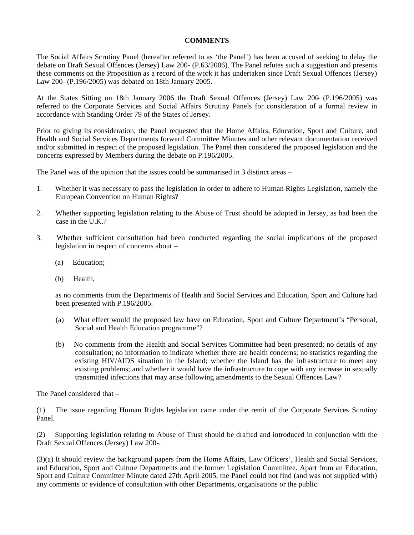## **COMMENTS**

The Social Affairs Scrutiny Panel (hereafter referred to as 'the Panel') has been accused of seeking to delay the debate on Draft Sexual Offences (Jersey) Law 200- (P.63/2006). The Panel refutes such a suggestion and presents these comments on the Proposition as a record of the work it has undertaken since Draft Sexual Offences (Jersey) Law 200- (P.196/2005) was debated on 18th January 2005.

At the States Sitting on 18th January 2006 the Draft Sexual Offences (Jersey) Law 200 (P.196/2005) was referred to the Corporate Services and Social Affairs Scrutiny Panels for consideration of a formal review in accordance with Standing Order 79 of the States of Jersey.

Prior to giving its consideration, the Panel requested that the Home Affairs, Education, Sport and Culture, and Health and Social Services Departments forward Committee Minutes and other relevant documentation received and/or submitted in respect of the proposed legislation. The Panel then considered the proposed legislation and the concerns expressed by Members during the debate on P.196/2005.

The Panel was of the opinion that the issues could be summarised in 3 distinct areas –

- 1. Whether it was necessary to pass the legislation in order to adhere to Human Rights Legislation, namely the European Convention on Human Rights?
- 2. Whether supporting legislation relating to the Abuse of Trust should be adopted in Jersey, as had been the case in the  $\tilde{U}$  K ?
- 3. Whether sufficient consultation had been conducted regarding the social implications of the proposed legislation in respect of concerns about –
	- (a) Education;
	- (b) Health,

 as no comments from the Departments of Health and Social Services and Education, Sport and Culture had been presented with P.196/2005.

- (a) What effect would the proposed law have on Education, Sport and Culture Department's "Personal, Social and Health Education programme"?
- (b) No comments from the Health and Social Services Committee had been presented; no details of any consultation; no information to indicate whether there are health concerns; no statistics regarding the existing HIV/AIDS situation in the Island; whether the Island has the infrastructure to meet any existing problems; and whether it would have the infrastructure to cope with any increase in sexually transmitted infections that may arise following amendments to the Sexual Offences Law?

The Panel considered that –

(1) The issue regarding Human Rights legislation came under the remit of the Corporate Services Scrutiny Panel.

(2) Supporting legislation relating to Abuse of Trust should be drafted and introduced in conjunction with the Draft Sexual Offences (Jersey) Law 200-.

(3)(a) It should review the background papers from the Home Affairs, Law Officers', Health and Social Services, and Education, Sport and Culture Departments and the former Legislation Committee. Apart from an Education, Sport and Culture Committee Minute dated 27th April 2005, the Panel could not find (and was not supplied with) any comments or evidence of consultation with other Departments, organisations or the public.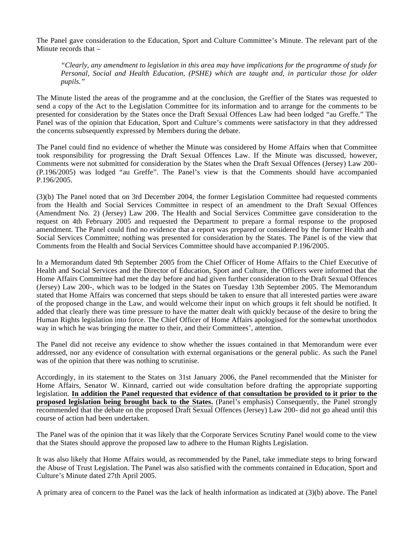The Panel gave consideration to the Education, Sport and Culture Committee's Minute. The relevant part of the Minute records that –

*"Clearly, any amendment to legislation in this area may have implications for the programme of study for Personal, Social and Health Education, (PSHE) which are taught and, in particular those for older pupils."*

The Minute listed the areas of the programme and at the conclusion, the Greffier of the States was requested to send a copy of the Act to the Legislation Committee for its information and to arrange for the comments to be presented for consideration by the States once the Draft Sexual Offences Law had been lodged "au Greffe." The Panel was of the opinion that Education, Sport and Culture's comments were satisfactory in that they addressed the concerns subsequently expressed by Members during the debate.

The Panel could find no evidence of whether the Minute was considered by Home Affairs when that Committee took responsibility for progressing the Draft Sexual Offences Law. If the Minute was discussed, however, Comments were not submitted for consideration by the States when the Draft Sexual Offences (Jersey) Law 200- (P.196/2005) was lodged "au Greffe". The Panel's view is that the Comments should have accompanied P.196/2005.

(3)(b) The Panel noted that on 3rd December 2004, the former Legislation Committee had requested comments from the Health and Social Services Committee in respect of an amendment to the Draft Sexual Offences (Amendment No. 2) (Jersey) Law 200. The Health and Social Services Committee gave consideration to the request on 4th February 2005 and requested the Department to prepare a formal response to the proposed amendment. The Panel could find no evidence that a report was prepared or considered by the former Health and Social Services Committee; nothing was presented for consideration by the States. The Panel is of the view that Comments from the Health and Social Services Committee should have accompanied P.196/2005.

In a Memorandum dated 9th September 2005 from the Chief Officer of Home Affairs to the Chief Executive of Health and Social Services and the Director of Education, Sport and Culture, the Officers were informed that the Home Affairs Committee had met the day before and had given further consideration to the Draft Sexual Offences (Jersey) Law 200-, which was to be lodged in the States on Tuesday 13th September 2005. The Memorandum stated that Home Affairs was concerned that steps should be taken to ensure that all interested parties were aware of the proposed change in the Law, and would welcome their input on which groups it felt should be notified. It added that clearly there was time pressure to have the matter dealt with quickly because of the desire to bring the Human Rights legislation into force. The Chief Officer of Home Affairs apologised for the somewhat unorthodox way in which he was bringing the matter to their, and their Committees', attention.

The Panel did not receive any evidence to show whether the issues contained in that Memorandum were ever addressed, nor any evidence of consultation with external organisations or the general public. As such the Panel was of the opinion that there was nothing to scrutinise.

Accordingly, in its statement to the States on 31st January 2006, the Panel recommended that the Minister for Home Affairs, Senator W. Kinnard, carried out wide consultation before drafting the appropriate supporting legislation. **In addition the Panel requested that evidence of that consultation be provided to it prior to the proposed legislation being brought back to the States.** (Panel's emphasis) Consequently, the Panel strongly recommended that the debate on the proposed Draft Sexual Offences (Jersey) Law 200- did not go ahead until this course of action had been undertaken.

The Panel was of the opinion that it was likely that the Corporate Services Scrutiny Panel would come to the view that the States should approve the proposed law to adhere to the Human Rights Legislation.

It was also likely that Home Affairs would, as recommended by the Panel, take immediate steps to bring forward the Abuse of Trust Legislation. The Panel was also satisfied with the comments contained in Education, Sport and Culture's Minute dated 27th April 2005.

A primary area of concern to the Panel was the lack of health information as indicated at (3)(b) above. The Panel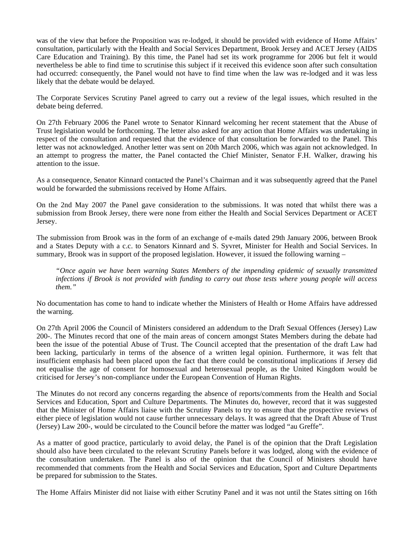was of the view that before the Proposition was re-lodged, it should be provided with evidence of Home Affairs' consultation, particularly with the Health and Social Services Department, Brook Jersey and ACET Jersey (AIDS Care Education and Training). By this time, the Panel had set its work programme for 2006 but felt it would nevertheless be able to find time to scrutinise this subject if it received this evidence soon after such consultation had occurred: consequently, the Panel would not have to find time when the law was re-lodged and it was less likely that the debate would be delayed.

The Corporate Services Scrutiny Panel agreed to carry out a review of the legal issues, which resulted in the debate being deferred.

On 27th February 2006 the Panel wrote to Senator Kinnard welcoming her recent statement that the Abuse of Trust legislation would be forthcoming. The letter also asked for any action that Home Affairs was undertaking in respect of the consultation and requested that the evidence of that consultation be forwarded to the Panel. This letter was not acknowledged. Another letter was sent on 20th March 2006, which was again not acknowledged. In an attempt to progress the matter, the Panel contacted the Chief Minister, Senator F.H. Walker, drawing his attention to the issue.

As a consequence, Senator Kinnard contacted the Panel's Chairman and it was subsequently agreed that the Panel would be forwarded the submissions received by Home Affairs.

On the 2nd May 2007 the Panel gave consideration to the submissions. It was noted that whilst there was a submission from Brook Jersey, there were none from either the Health and Social Services Department or ACET Jersey.

The submission from Brook was in the form of an exchange of e-mails dated 29th January 2006, between Brook and a States Deputy with a c.c. to Senators Kinnard and S. Syvret, Minister for Health and Social Services. In summary, Brook was in support of the proposed legislation. However, it issued the following warning –

*"Once again we have been warning States Members of the impending epidemic of sexually transmitted infections if Brook is not provided with funding to carry out those tests where young people will access them."*

No documentation has come to hand to indicate whether the Ministers of Health or Home Affairs have addressed the warning.

On 27th April 2006 the Council of Ministers considered an addendum to the Draft Sexual Offences (Jersey) Law 200-. The Minutes record that one of the main areas of concern amongst States Members during the debate had been the issue of the potential Abuse of Trust. The Council accepted that the presentation of the draft Law had been lacking, particularly in terms of the absence of a written legal opinion. Furthermore, it was felt that insufficient emphasis had been placed upon the fact that there could be constitutional implications if Jersey did not equalise the age of consent for homosexual and heterosexual people, as the United Kingdom would be criticised for Jersey's non-compliance under the European Convention of Human Rights.

The Minutes do not record any concerns regarding the absence of reports/comments from the Health and Social Services and Education, Sport and Culture Departments. The Minutes do, however, record that it was suggested that the Minister of Home Affairs liaise with the Scrutiny Panels to try to ensure that the prospective reviews of either piece of legislation would not cause further unnecessary delays. It was agreed that the Draft Abuse of Trust (Jersey) Law 200-, would be circulated to the Council before the matter was lodged "au Greffe".

As a matter of good practice, particularly to avoid delay, the Panel is of the opinion that the Draft Legislation should also have been circulated to the relevant Scrutiny Panels before it was lodged, along with the evidence of the consultation undertaken. The Panel is also of the opinion that the Council of Ministers should have recommended that comments from the Health and Social Services and Education, Sport and Culture Departments be prepared for submission to the States.

The Home Affairs Minister did not liaise with either Scrutiny Panel and it was not until the States sitting on 16th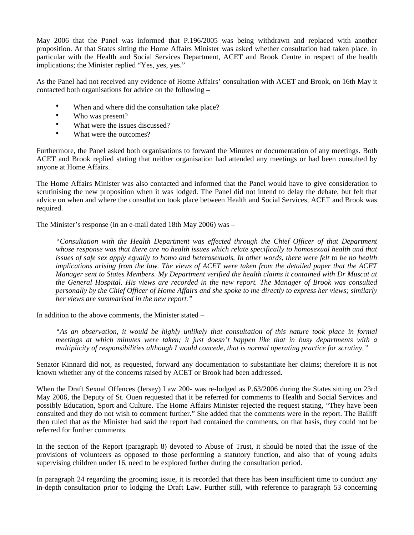May 2006 that the Panel was informed that P.196/2005 was being withdrawn and replaced with another proposition. At that States sitting the Home Affairs Minister was asked whether consultation had taken place, in particular with the Health and Social Services Department, ACET and Brook Centre in respect of the health implications; the Minister replied "Yes, yes, yes."

As the Panel had not received any evidence of Home Affairs' consultation with ACET and Brook, on 16th May it contacted both organisations for advice on the following **–**

- When and where did the consultation take place?
- Who was present?
- What were the issues discussed?
- What were the outcomes?

Furthermore, the Panel asked both organisations to forward the Minutes or documentation of any meetings. Both ACET and Brook replied stating that neither organisation had attended any meetings or had been consulted by anyone at Home Affairs.

The Home Affairs Minister was also contacted and informed that the Panel would have to give consideration to scrutinising the new proposition when it was lodged. The Panel did not intend to delay the debate, but felt that advice on when and where the consultation took place between Health and Social Services, ACET and Brook was required.

The Minister's response (in an e-mail dated 18th May 2006) was –

*"Consultation with the Health Department was effected through the Chief Officer of that Department whose response was that there are no health issues which relate specifically to homosexual health and that issues of safe sex apply equally to homo and heterosexuals. In other words, there were felt to be no health implications arising from the law. The views of ACET were taken from the detailed paper that the ACET Manager sent to States Members. My Department verified the health claims it contained with Dr Muscat at the General Hospital. His views are recorded in the new report. The Manager of Brook was consulted personally by the Chief Officer of Home Affairs and she spoke to me directly to express her views; similarly her views are summarised in the new report."*

In addition to the above comments, the Minister stated –

*"As an observation, it would be highly unlikely that consultation of this nature took place in formal meetings at which minutes were taken; it just doesn't happen like that in busy departments with a multiplicity of responsibilities although I would concede, that is normal operating practice for scrutiny."*

Senator Kinnard did not, as requested, forward any documentation to substantiate her claims; therefore it is not known whether any of the concerns raised by ACET or Brook had been addressed.

When the Draft Sexual Offences (Jersey) Law 200- was re-lodged as P.63/2006 during the States sitting on 23rd May 2006, the Deputy of St. Ouen requested that it be referred for comments to Health and Social Services and possibly Education, Sport and Culture. The Home Affairs Minister rejected the request stating, "They have been consulted and they do not wish to comment further**.**" She added that the comments were in the report. The Bailiff then ruled that as the Minister had said the report had contained the comments, on that basis, they could not be referred for further comments.

In the section of the Report (paragraph 8) devoted to Abuse of Trust, it should be noted that the issue of the provisions of volunteers as opposed to those performing a statutory function, and also that of young adults supervising children under 16, need to be explored further during the consultation period.

In paragraph 24 regarding the grooming issue, it is recorded that there has been insufficient time to conduct any in-depth consultation prior to lodging the Draft Law. Further still, with reference to paragraph 53 concerning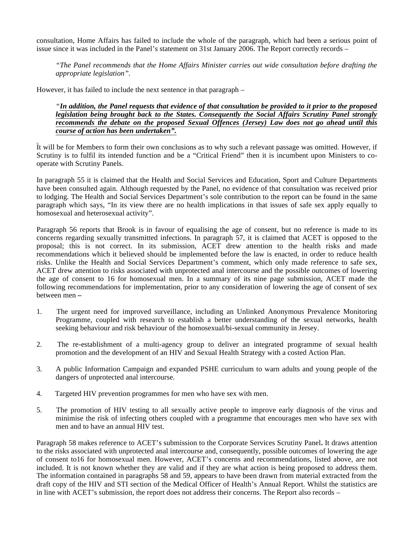consultation, Home Affairs has failed to include the whole of the paragraph, which had been a serious point of issue since it was included in the Panel's statement on 31st January 2006. The Report correctly records –

*"The Panel recommends that the Home Affairs Minister carries out wide consultation before drafting the appropriate legislation".*

However, it has failed to include the next sentence in that paragraph –

*"In addition, the Panel requests that evidence of that consultation be provided to it prior to the proposed legislation being brought back to the States. Consequently the Social Affairs Scrutiny Panel strongly recommends the debate on the proposed Sexual Offences (Jersey) Law does not go ahead until this course of action has been undertaken".*

It will be for Members to form their own conclusions as to why such a relevant passage was omitted. However, if Scrutiny is to fulfil its intended function and be a "Critical Friend" then it is incumbent upon Ministers to cooperate with Scrutiny Panels.

In paragraph 55 it is claimed that the Health and Social Services and Education, Sport and Culture Departments have been consulted again. Although requested by the Panel, no evidence of that consultation was received prior to lodging. The Health and Social Services Department's sole contribution to the report can be found in the same paragraph which says, "In its view there are no health implications in that issues of safe sex apply equally to homosexual and heterosexual activity".

Paragraph 56 reports that Brook is in favour of equalising the age of consent, but no reference is made to its concerns regarding sexually transmitted infections. In paragraph 57, it is claimed that ACET is opposed to the proposal; this is not correct. In its submission, ACET drew attention to the health risks and made recommendations which it believed should be implemented before the law is enacted, in order to reduce health risks. Unlike the Health and Social Services Department's comment, which only made reference to safe sex, ACET drew attention to risks associated with unprotected anal intercourse and the possible outcomes of lowering the age of consent to 16 for homosexual men. In a summary of its nine page submission, ACET made the following recommendations for implementation, prior to any consideration of lowering the age of consent of sex between men **–**

- 1. The urgent need for improved surveillance, including an Unlinked Anonymous Prevalence Monitoring Programme, coupled with research to establish a better understanding of the sexual networks, health seeking behaviour and risk behaviour of the homosexual/bi-sexual community in Jersey.
- 2. The re-establishment of a multi-agency group to deliver an integrated programme of sexual health promotion and the development of an HIV and Sexual Health Strategy with a costed Action Plan.
- 3. A public Information Campaign and expanded PSHE curriculum to warn adults and young people of the dangers of unprotected anal intercourse.
- 4. Targeted HIV prevention programmes for men who have sex with men.
- 5. The promotion of HIV testing to all sexually active people to improve early diagnosis of the virus and minimise the risk of infecting others coupled with a programme that encourages men who have sex with men and to have an annual HIV test.

Paragraph 58 makes reference to ACET's submission to the Corporate Services Scrutiny Panel**.** It draws attention to the risks associated with unprotected anal intercourse and, consequently, possible outcomes of lowering the age of consent to16 for homosexual men. However, ACET's concerns and recommendations, listed above, are not included. It is not known whether they are valid and if they are what action is being proposed to address them. The information contained in paragraphs 58 and 59, appears to have been drawn from material extracted from the draft copy of the HIV and STI section of the Medical Officer of Health's Annual Report. Whilst the statistics are in line with ACET's submission, the report does not address their concerns. The Report also records –